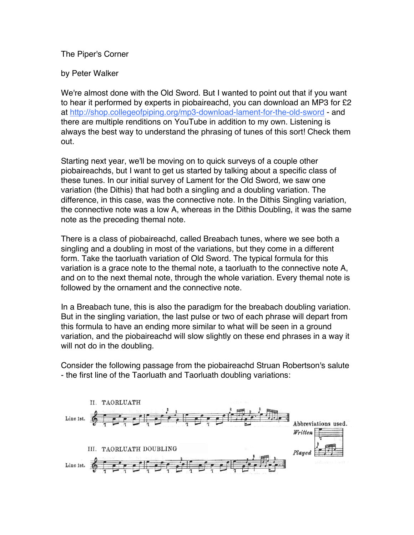## The Piper's Corner

## by Peter Walker

We're almost done with the Old Sword. But I wanted to point out that if you want to hear it performed by experts in piobaireachd, you can download an MP3 for £2 at http://shop.collegeofpiping.org/mp3-download-lament-for-the-old-sword - and there are multiple renditions on YouTube in addition to my own. Listening is always the best way to understand the phrasing of tunes of this sort! Check them out.

Starting next year, we'll be moving on to quick surveys of a couple other piobaireachds, but I want to get us started by talking about a specific class of these tunes. In our initial survey of Lament for the Old Sword, we saw one variation (the Dithis) that had both a singling and a doubling variation. The difference, in this case, was the connective note. In the Dithis Singling variation, the connective note was a low A, whereas in the Dithis Doubling, it was the same note as the preceding themal note.

There is a class of piobaireachd, called Breabach tunes, where we see both a singling and a doubling in most of the variations, but they come in a different form. Take the taorluath variation of Old Sword. The typical formula for this variation is a grace note to the themal note, a taorluath to the connective note A, and on to the next themal note, through the whole variation. Every themal note is followed by the ornament and the connective note.

In a Breabach tune, this is also the paradigm for the breabach doubling variation. But in the singling variation, the last pulse or two of each phrase will depart from this formula to have an ending more similar to what will be seen in a ground variation, and the piobaireachd will slow slightly on these end phrases in a way it will not do in the doubling.

Consider the following passage from the piobaireachd Struan Robertson's salute - the first line of the Taorluath and Taorluath doubling variations: